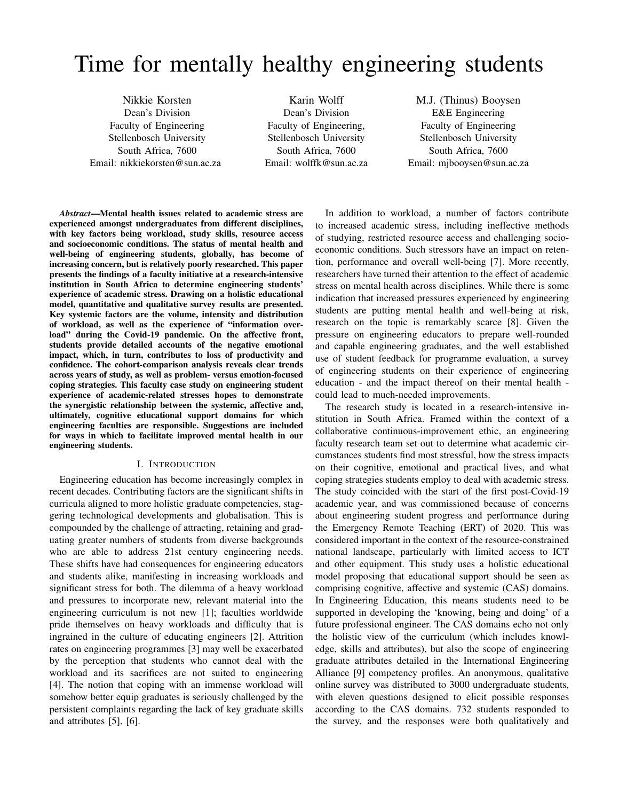# Time for mentally healthy engineering students

Nikkie Korsten Dean's Division Faculty of Engineering Stellenbosch University South Africa, 7600 Email: nikkiekorsten@sun.ac.za

Karin Wolff Dean's Division Faculty of Engineering, Stellenbosch University South Africa, 7600 Email: wolffk@sun.ac.za

M.J. (Thinus) Booysen E&E Engineering Faculty of Engineering Stellenbosch University South Africa, 7600 Email: mjbooysen@sun.ac.za

*Abstract*—Mental health issues related to academic stress are experienced amongst undergraduates from different disciplines, with key factors being workload, study skills, resource access and socioeconomic conditions. The status of mental health and well-being of engineering students, globally, has become of increasing concern, but is relatively poorly researched. This paper presents the findings of a faculty initiative at a research-intensive institution in South Africa to determine engineering students' experience of academic stress. Drawing on a holistic educational model, quantitative and qualitative survey results are presented. Key systemic factors are the volume, intensity and distribution of workload, as well as the experience of "information overload" during the Covid-19 pandemic. On the affective front, students provide detailed accounts of the negative emotional impact, which, in turn, contributes to loss of productivity and confidence. The cohort-comparison analysis reveals clear trends across years of study, as well as problem- versus emotion-focused coping strategies. This faculty case study on engineering student experience of academic-related stresses hopes to demonstrate the synergistic relationship between the systemic, affective and, ultimately, cognitive educational support domains for which engineering faculties are responsible. Suggestions are included for ways in which to facilitate improved mental health in our engineering students.

#### I. INTRODUCTION

Engineering education has become increasingly complex in recent decades. Contributing factors are the significant shifts in curricula aligned to more holistic graduate competencies, staggering technological developments and globalisation. This is compounded by the challenge of attracting, retaining and graduating greater numbers of students from diverse backgrounds who are able to address 21st century engineering needs. These shifts have had consequences for engineering educators and students alike, manifesting in increasing workloads and significant stress for both. The dilemma of a heavy workload and pressures to incorporate new, relevant material into the engineering curriculum is not new [1]; faculties worldwide pride themselves on heavy workloads and difficulty that is ingrained in the culture of educating engineers [2]. Attrition rates on engineering programmes [3] may well be exacerbated by the perception that students who cannot deal with the workload and its sacrifices are not suited to engineering [4]. The notion that coping with an immense workload will somehow better equip graduates is seriously challenged by the persistent complaints regarding the lack of key graduate skills and attributes [5], [6].

In addition to workload, a number of factors contribute to increased academic stress, including ineffective methods of studying, restricted resource access and challenging socioeconomic conditions. Such stressors have an impact on retention, performance and overall well-being [7]. More recently, researchers have turned their attention to the effect of academic stress on mental health across disciplines. While there is some indication that increased pressures experienced by engineering students are putting mental health and well-being at risk, research on the topic is remarkably scarce [8]. Given the pressure on engineering educators to prepare well-rounded and capable engineering graduates, and the well established use of student feedback for programme evaluation, a survey of engineering students on their experience of engineering education - and the impact thereof on their mental health could lead to much-needed improvements.

The research study is located in a research-intensive institution in South Africa. Framed within the context of a collaborative continuous-improvement ethic, an engineering faculty research team set out to determine what academic circumstances students find most stressful, how the stress impacts on their cognitive, emotional and practical lives, and what coping strategies students employ to deal with academic stress. The study coincided with the start of the first post-Covid-19 academic year, and was commissioned because of concerns about engineering student progress and performance during the Emergency Remote Teaching (ERT) of 2020. This was considered important in the context of the resource-constrained national landscape, particularly with limited access to ICT and other equipment. This study uses a holistic educational model proposing that educational support should be seen as comprising cognitive, affective and systemic (CAS) domains. In Engineering Education, this means students need to be supported in developing the 'knowing, being and doing' of a future professional engineer. The CAS domains echo not only the holistic view of the curriculum (which includes knowledge, skills and attributes), but also the scope of engineering graduate attributes detailed in the International Engineering Alliance [9] competency profiles. An anonymous, qualitative online survey was distributed to 3000 undergraduate students, with eleven questions designed to elicit possible responses according to the CAS domains. 732 students responded to the survey, and the responses were both qualitatively and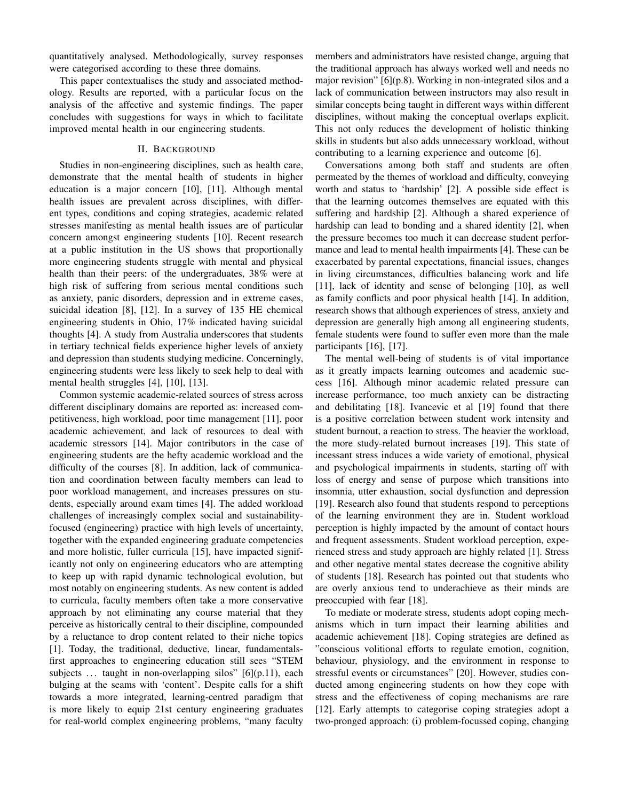quantitatively analysed. Methodologically, survey responses were categorised according to these three domains.

This paper contextualises the study and associated methodology. Results are reported, with a particular focus on the analysis of the affective and systemic findings. The paper concludes with suggestions for ways in which to facilitate improved mental health in our engineering students.

## II. BACKGROUND

Studies in non-engineering disciplines, such as health care, demonstrate that the mental health of students in higher education is a major concern [10], [11]. Although mental health issues are prevalent across disciplines, with different types, conditions and coping strategies, academic related stresses manifesting as mental health issues are of particular concern amongst engineering students [10]. Recent research at a public institution in the US shows that proportionally more engineering students struggle with mental and physical health than their peers: of the undergraduates, 38% were at high risk of suffering from serious mental conditions such as anxiety, panic disorders, depression and in extreme cases, suicidal ideation [8], [12]. In a survey of 135 HE chemical engineering students in Ohio, 17% indicated having suicidal thoughts [4]. A study from Australia underscores that students in tertiary technical fields experience higher levels of anxiety and depression than students studying medicine. Concerningly, engineering students were less likely to seek help to deal with mental health struggles [4], [10], [13].

Common systemic academic-related sources of stress across different disciplinary domains are reported as: increased competitiveness, high workload, poor time management [11], poor academic achievement, and lack of resources to deal with academic stressors [14]. Major contributors in the case of engineering students are the hefty academic workload and the difficulty of the courses [8]. In addition, lack of communication and coordination between faculty members can lead to poor workload management, and increases pressures on students, especially around exam times [4]. The added workload challenges of increasingly complex social and sustainabilityfocused (engineering) practice with high levels of uncertainty, together with the expanded engineering graduate competencies and more holistic, fuller curricula [15], have impacted significantly not only on engineering educators who are attempting to keep up with rapid dynamic technological evolution, but most notably on engineering students. As new content is added to curricula, faculty members often take a more conservative approach by not eliminating any course material that they perceive as historically central to their discipline, compounded by a reluctance to drop content related to their niche topics [1]. Today, the traditional, deductive, linear, fundamentalsfirst approaches to engineering education still sees "STEM subjects ... taught in non-overlapping silos" [6](p.11), each bulging at the seams with 'content'. Despite calls for a shift towards a more integrated, learning-centred paradigm that is more likely to equip 21st century engineering graduates for real-world complex engineering problems, "many faculty members and administrators have resisted change, arguing that the traditional approach has always worked well and needs no major revision" [6](p.8). Working in non-integrated silos and a lack of communication between instructors may also result in similar concepts being taught in different ways within different disciplines, without making the conceptual overlaps explicit. This not only reduces the development of holistic thinking skills in students but also adds unnecessary workload, without contributing to a learning experience and outcome [6].

Conversations among both staff and students are often permeated by the themes of workload and difficulty, conveying worth and status to 'hardship' [2]. A possible side effect is that the learning outcomes themselves are equated with this suffering and hardship [2]. Although a shared experience of hardship can lead to bonding and a shared identity [2], when the pressure becomes too much it can decrease student performance and lead to mental health impairments [4]. These can be exacerbated by parental expectations, financial issues, changes in living circumstances, difficulties balancing work and life [11], lack of identity and sense of belonging [10], as well as family conflicts and poor physical health [14]. In addition, research shows that although experiences of stress, anxiety and depression are generally high among all engineering students, female students were found to suffer even more than the male participants [16], [17].

The mental well-being of students is of vital importance as it greatly impacts learning outcomes and academic success [16]. Although minor academic related pressure can increase performance, too much anxiety can be distracting and debilitating [18]. Ivancevic et al [19] found that there is a positive correlation between student work intensity and student burnout, a reaction to stress. The heavier the workload, the more study-related burnout increases [19]. This state of incessant stress induces a wide variety of emotional, physical and psychological impairments in students, starting off with loss of energy and sense of purpose which transitions into insomnia, utter exhaustion, social dysfunction and depression [19]. Research also found that students respond to perceptions of the learning environment they are in. Student workload perception is highly impacted by the amount of contact hours and frequent assessments. Student workload perception, experienced stress and study approach are highly related [1]. Stress and other negative mental states decrease the cognitive ability of students [18]. Research has pointed out that students who are overly anxious tend to underachieve as their minds are preoccupied with fear [18].

To mediate or moderate stress, students adopt coping mechanisms which in turn impact their learning abilities and academic achievement [18]. Coping strategies are defined as "conscious volitional efforts to regulate emotion, cognition, behaviour, physiology, and the environment in response to stressful events or circumstances" [20]. However, studies conducted among engineering students on how they cope with stress and the effectiveness of coping mechanisms are rare [12]. Early attempts to categorise coping strategies adopt a two-pronged approach: (i) problem-focussed coping, changing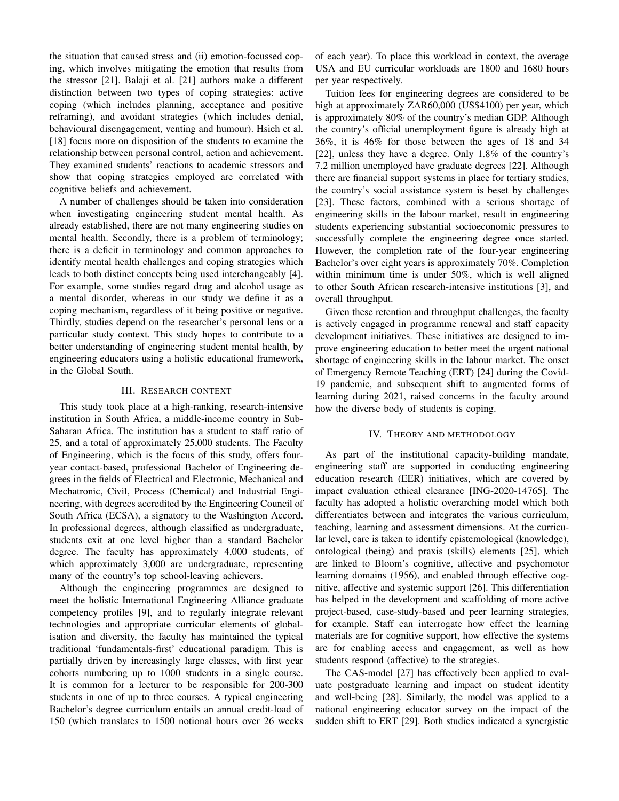the situation that caused stress and (ii) emotion-focussed coping, which involves mitigating the emotion that results from the stressor [21]. Balaji et al. [21] authors make a different distinction between two types of coping strategies: active coping (which includes planning, acceptance and positive reframing), and avoidant strategies (which includes denial, behavioural disengagement, venting and humour). Hsieh et al. [18] focus more on disposition of the students to examine the relationship between personal control, action and achievement. They examined students' reactions to academic stressors and show that coping strategies employed are correlated with cognitive beliefs and achievement.

A number of challenges should be taken into consideration when investigating engineering student mental health. As already established, there are not many engineering studies on mental health. Secondly, there is a problem of terminology; there is a deficit in terminology and common approaches to identify mental health challenges and coping strategies which leads to both distinct concepts being used interchangeably [4]. For example, some studies regard drug and alcohol usage as a mental disorder, whereas in our study we define it as a coping mechanism, regardless of it being positive or negative. Thirdly, studies depend on the researcher's personal lens or a particular study context. This study hopes to contribute to a better understanding of engineering student mental health, by engineering educators using a holistic educational framework, in the Global South.

#### III. RESEARCH CONTEXT

This study took place at a high-ranking, research-intensive institution in South Africa, a middle-income country in Sub-Saharan Africa. The institution has a student to staff ratio of 25, and a total of approximately 25,000 students. The Faculty of Engineering, which is the focus of this study, offers fouryear contact-based, professional Bachelor of Engineering degrees in the fields of Electrical and Electronic, Mechanical and Mechatronic, Civil, Process (Chemical) and Industrial Engineering, with degrees accredited by the Engineering Council of South Africa (ECSA), a signatory to the Washington Accord. In professional degrees, although classified as undergraduate, students exit at one level higher than a standard Bachelor degree. The faculty has approximately 4,000 students, of which approximately 3,000 are undergraduate, representing many of the country's top school-leaving achievers.

Although the engineering programmes are designed to meet the holistic International Engineering Alliance graduate competency profiles [9], and to regularly integrate relevant technologies and appropriate curricular elements of globalisation and diversity, the faculty has maintained the typical traditional 'fundamentals-first' educational paradigm. This is partially driven by increasingly large classes, with first year cohorts numbering up to 1000 students in a single course. It is common for a lecturer to be responsible for 200-300 students in one of up to three courses. A typical engineering Bachelor's degree curriculum entails an annual credit-load of 150 (which translates to 1500 notional hours over 26 weeks of each year). To place this workload in context, the average USA and EU curricular workloads are 1800 and 1680 hours per year respectively.

Tuition fees for engineering degrees are considered to be high at approximately ZAR60,000 (US\$4100) per year, which is approximately 80% of the country's median GDP. Although the country's official unemployment figure is already high at 36%, it is 46% for those between the ages of 18 and 34 [22], unless they have a degree. Only 1.8% of the country's 7.2 million unemployed have graduate degrees [22]. Although there are financial support systems in place for tertiary studies, the country's social assistance system is beset by challenges [23]. These factors, combined with a serious shortage of engineering skills in the labour market, result in engineering students experiencing substantial socioeconomic pressures to successfully complete the engineering degree once started. However, the completion rate of the four-year engineering Bachelor's over eight years is approximately 70%. Completion within minimum time is under 50%, which is well aligned to other South African research-intensive institutions [3], and overall throughput.

Given these retention and throughput challenges, the faculty is actively engaged in programme renewal and staff capacity development initiatives. These initiatives are designed to improve engineering education to better meet the urgent national shortage of engineering skills in the labour market. The onset of Emergency Remote Teaching (ERT) [24] during the Covid-19 pandemic, and subsequent shift to augmented forms of learning during 2021, raised concerns in the faculty around how the diverse body of students is coping.

## IV. THEORY AND METHODOLOGY

As part of the institutional capacity-building mandate, engineering staff are supported in conducting engineering education research (EER) initiatives, which are covered by impact evaluation ethical clearance [ING-2020-14765]. The faculty has adopted a holistic overarching model which both differentiates between and integrates the various curriculum, teaching, learning and assessment dimensions. At the curricular level, care is taken to identify epistemological (knowledge), ontological (being) and praxis (skills) elements [25], which are linked to Bloom's cognitive, affective and psychomotor learning domains (1956), and enabled through effective cognitive, affective and systemic support [26]. This differentiation has helped in the development and scaffolding of more active project-based, case-study-based and peer learning strategies, for example. Staff can interrogate how effect the learning materials are for cognitive support, how effective the systems are for enabling access and engagement, as well as how students respond (affective) to the strategies.

The CAS-model [27] has effectively been applied to evaluate postgraduate learning and impact on student identity and well-being [28]. Similarly, the model was applied to a national engineering educator survey on the impact of the sudden shift to ERT [29]. Both studies indicated a synergistic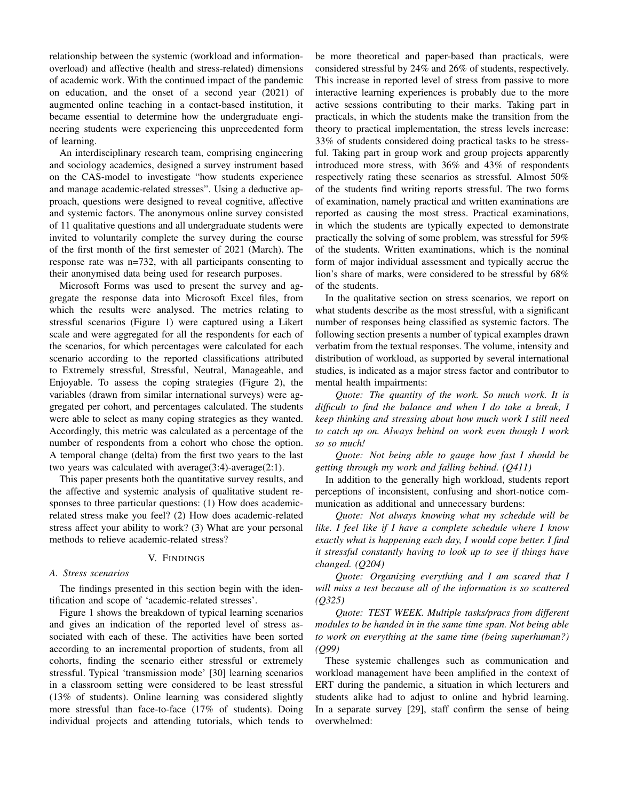relationship between the systemic (workload and informationoverload) and affective (health and stress-related) dimensions of academic work. With the continued impact of the pandemic on education, and the onset of a second year (2021) of augmented online teaching in a contact-based institution, it became essential to determine how the undergraduate engineering students were experiencing this unprecedented form of learning.

An interdisciplinary research team, comprising engineering and sociology academics, designed a survey instrument based on the CAS-model to investigate "how students experience and manage academic-related stresses". Using a deductive approach, questions were designed to reveal cognitive, affective and systemic factors. The anonymous online survey consisted of 11 qualitative questions and all undergraduate students were invited to voluntarily complete the survey during the course of the first month of the first semester of 2021 (March). The response rate was n=732, with all participants consenting to their anonymised data being used for research purposes.

Microsoft Forms was used to present the survey and aggregate the response data into Microsoft Excel files, from which the results were analysed. The metrics relating to stressful scenarios (Figure 1) were captured using a Likert scale and were aggregated for all the respondents for each of the scenarios, for which percentages were calculated for each scenario according to the reported classifications attributed to Extremely stressful, Stressful, Neutral, Manageable, and Enjoyable. To assess the coping strategies (Figure 2), the variables (drawn from similar international surveys) were aggregated per cohort, and percentages calculated. The students were able to select as many coping strategies as they wanted. Accordingly, this metric was calculated as a percentage of the number of respondents from a cohort who chose the option. A temporal change (delta) from the first two years to the last two years was calculated with average(3:4)-average(2:1).

This paper presents both the quantitative survey results, and the affective and systemic analysis of qualitative student responses to three particular questions: (1) How does academicrelated stress make you feel? (2) How does academic-related stress affect your ability to work? (3) What are your personal methods to relieve academic-related stress?

#### V. FINDINGS

## *A. Stress scenarios*

The findings presented in this section begin with the identification and scope of 'academic-related stresses'.

Figure 1 shows the breakdown of typical learning scenarios and gives an indication of the reported level of stress associated with each of these. The activities have been sorted according to an incremental proportion of students, from all cohorts, finding the scenario either stressful or extremely stressful. Typical 'transmission mode' [30] learning scenarios in a classroom setting were considered to be least stressful (13% of students). Online learning was considered slightly more stressful than face-to-face (17% of students). Doing individual projects and attending tutorials, which tends to be more theoretical and paper-based than practicals, were considered stressful by 24% and 26% of students, respectively. This increase in reported level of stress from passive to more interactive learning experiences is probably due to the more active sessions contributing to their marks. Taking part in practicals, in which the students make the transition from the theory to practical implementation, the stress levels increase: 33% of students considered doing practical tasks to be stressful. Taking part in group work and group projects apparently introduced more stress, with 36% and 43% of respondents respectively rating these scenarios as stressful. Almost 50% of the students find writing reports stressful. The two forms of examination, namely practical and written examinations are reported as causing the most stress. Practical examinations, in which the students are typically expected to demonstrate practically the solving of some problem, was stressful for 59% of the students. Written examinations, which is the nominal form of major individual assessment and typically accrue the lion's share of marks, were considered to be stressful by 68% of the students.

In the qualitative section on stress scenarios, we report on what students describe as the most stressful, with a significant number of responses being classified as systemic factors. The following section presents a number of typical examples drawn verbatim from the textual responses. The volume, intensity and distribution of workload, as supported by several international studies, is indicated as a major stress factor and contributor to mental health impairments:

*Quote: The quantity of the work. So much work. It is difficult to find the balance and when I do take a break, I keep thinking and stressing about how much work I still need to catch up on. Always behind on work even though I work so so much!*

*Quote: Not being able to gauge how fast I should be getting through my work and falling behind. (Q411)*

In addition to the generally high workload, students report perceptions of inconsistent, confusing and short-notice communication as additional and unnecessary burdens:

*Quote: Not always knowing what my schedule will be like. I feel like if I have a complete schedule where I know exactly what is happening each day, I would cope better. I find it stressful constantly having to look up to see if things have changed. (Q204)*

*Quote: Organizing everything and I am scared that I will miss a test because all of the information is so scattered (Q325)*

*Quote: TEST WEEK. Multiple tasks/pracs from different modules to be handed in in the same time span. Not being able to work on everything at the same time (being superhuman?) (Q99)*

These systemic challenges such as communication and workload management have been amplified in the context of ERT during the pandemic, a situation in which lecturers and students alike had to adjust to online and hybrid learning. In a separate survey [29], staff confirm the sense of being overwhelmed: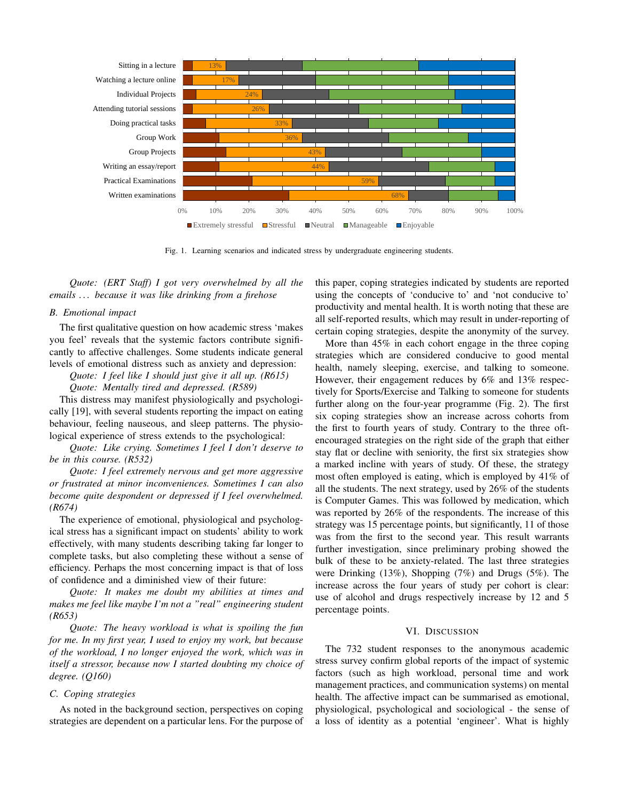

Fig. 1. Learning scenarios and indicated stress by undergraduate engineering students.

*Quote: (ERT Staff) I got very overwhelmed by all the emails . . . because it was like drinking from a firehose*

## *B. Emotional impact*

The first qualitative question on how academic stress 'makes you feel' reveals that the systemic factors contribute significantly to affective challenges. Some students indicate general levels of emotional distress such as anxiety and depression:

*Quote: I feel like I should just give it all up. (R615)*

*Quote: Mentally tired and depressed. (R589)*

This distress may manifest physiologically and psychologically [19], with several students reporting the impact on eating behaviour, feeling nauseous, and sleep patterns. The physiological experience of stress extends to the psychological:

*Quote: Like crying. Sometimes I feel I don't deserve to be in this course. (R532)*

*Quote: I feel extremely nervous and get more aggressive or frustrated at minor inconveniences. Sometimes I can also become quite despondent or depressed if I feel overwhelmed. (R674)*

The experience of emotional, physiological and psychological stress has a significant impact on students' ability to work effectively, with many students describing taking far longer to complete tasks, but also completing these without a sense of efficiency. Perhaps the most concerning impact is that of loss of confidence and a diminished view of their future:

*Quote: It makes me doubt my abilities at times and makes me feel like maybe I'm not a "real" engineering student (R653)*

*Quote: The heavy workload is what is spoiling the fun for me. In my first year, I used to enjoy my work, but because of the workload, I no longer enjoyed the work, which was in itself a stressor, because now I started doubting my choice of degree. (Q160)*

## *C. Coping strategies*

As noted in the background section, perspectives on coping strategies are dependent on a particular lens. For the purpose of this paper, coping strategies indicated by students are reported using the concepts of 'conducive to' and 'not conducive to' productivity and mental health. It is worth noting that these are all self-reported results, which may result in under-reporting of certain coping strategies, despite the anonymity of the survey.

More than 45% in each cohort engage in the three coping strategies which are considered conducive to good mental health, namely sleeping, exercise, and talking to someone. However, their engagement reduces by 6% and 13% respectively for Sports/Exercise and Talking to someone for students further along on the four-year programme (Fig. 2). The first six coping strategies show an increase across cohorts from the first to fourth years of study. Contrary to the three oftencouraged strategies on the right side of the graph that either stay flat or decline with seniority, the first six strategies show a marked incline with years of study. Of these, the strategy most often employed is eating, which is employed by 41% of all the students. The next strategy, used by 26% of the students is Computer Games. This was followed by medication, which was reported by 26% of the respondents. The increase of this strategy was 15 percentage points, but significantly, 11 of those was from the first to the second year. This result warrants further investigation, since preliminary probing showed the bulk of these to be anxiety-related. The last three strategies were Drinking (13%), Shopping (7%) and Drugs (5%). The increase across the four years of study per cohort is clear: use of alcohol and drugs respectively increase by 12 and 5 percentage points.

## VI. DISCUSSION

The 732 student responses to the anonymous academic stress survey confirm global reports of the impact of systemic factors (such as high workload, personal time and work management practices, and communication systems) on mental health. The affective impact can be summarised as emotional, physiological, psychological and sociological - the sense of a loss of identity as a potential 'engineer'. What is highly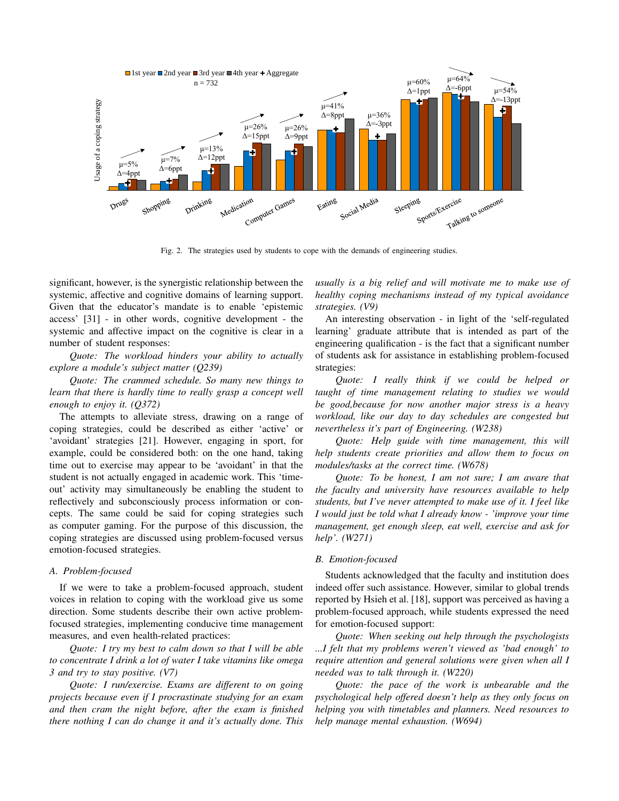

Fig. 2. The strategies used by students to cope with the demands of engineering studies.

significant, however, is the synergistic relationship between the systemic, affective and cognitive domains of learning support. Given that the educator's mandate is to enable 'epistemic access' [31] - in other words, cognitive development - the systemic and affective impact on the cognitive is clear in a number of student responses:

*Quote: The workload hinders your ability to actually explore a module's subject matter (Q239)*

*Quote: The crammed schedule. So many new things to learn that there is hardly time to really grasp a concept well enough to enjoy it. (Q372)*

The attempts to alleviate stress, drawing on a range of coping strategies, could be described as either 'active' or 'avoidant' strategies [21]. However, engaging in sport, for example, could be considered both: on the one hand, taking time out to exercise may appear to be 'avoidant' in that the student is not actually engaged in academic work. This 'timeout' activity may simultaneously be enabling the student to reflectively and subconsciously process information or concepts. The same could be said for coping strategies such as computer gaming. For the purpose of this discussion, the coping strategies are discussed using problem-focused versus emotion-focused strategies.

#### *A. Problem-focused*

If we were to take a problem-focused approach, student voices in relation to coping with the workload give us some direction. Some students describe their own active problemfocused strategies, implementing conducive time management measures, and even health-related practices:

*Quote: I try my best to calm down so that I will be able to concentrate I drink a lot of water I take vitamins like omega 3 and try to stay positive. (V7)*

*Quote: I run/exercise. Exams are different to on going projects because even if I procrastinate studying for an exam and then cram the night before, after the exam is finished there nothing I can do change it and it's actually done. This* *usually is a big relief and will motivate me to make use of healthy coping mechanisms instead of my typical avoidance strategies. (V9)*

An interesting observation - in light of the 'self-regulated learning' graduate attribute that is intended as part of the engineering qualification - is the fact that a significant number of students ask for assistance in establishing problem-focused strategies:

*Quote: I really think if we could be helped or taught of time management relating to studies we would be good,because for now another major stress is a heavy workload, like our day to day schedules are congested but nevertheless it's part of Engineering. (W238)*

*Quote: Help guide with time management, this will help students create priorities and allow them to focus on modules/tasks at the correct time. (W678)*

*Quote: To be honest, I am not sure; I am aware that the faculty and university have resources available to help students, but I've never attempted to make use of it. I feel like I would just be told what I already know - 'improve your time management, get enough sleep, eat well, exercise and ask for help'. (W271)*

#### *B. Emotion-focused*

Students acknowledged that the faculty and institution does indeed offer such assistance. However, similar to global trends reported by Hsieh et al. [18], support was perceived as having a problem-focused approach, while students expressed the need for emotion-focused support:

*Quote: When seeking out help through the psychologists ...I felt that my problems weren't viewed as 'bad enough' to require attention and general solutions were given when all I needed was to talk through it. (W220)*

*Quote: the pace of the work is unbearable and the psychological help offered doesn't help as they only focus on helping you with timetables and planners. Need resources to help manage mental exhaustion. (W694)*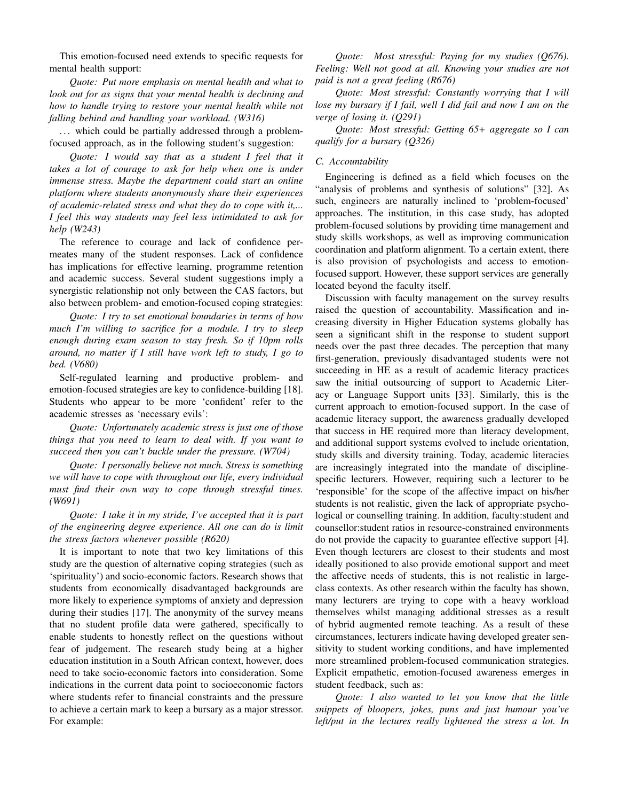This emotion-focused need extends to specific requests for mental health support:

*Quote: Put more emphasis on mental health and what to look out for as signs that your mental health is declining and how to handle trying to restore your mental health while not falling behind and handling your workload. (W316)*

... which could be partially addressed through a problemfocused approach, as in the following student's suggestion:

*Quote: I would say that as a student I feel that it takes a lot of courage to ask for help when one is under immense stress. Maybe the department could start an online platform where students anonymously share their experiences of academic-related stress and what they do to cope with it,... I feel this way students may feel less intimidated to ask for help (W243)*

The reference to courage and lack of confidence permeates many of the student responses. Lack of confidence has implications for effective learning, programme retention and academic success. Several student suggestions imply a synergistic relationship not only between the CAS factors, but also between problem- and emotion-focused coping strategies:

*Quote: I try to set emotional boundaries in terms of how much I'm willing to sacrifice for a module. I try to sleep enough during exam season to stay fresh. So if 10pm rolls around, no matter if I still have work left to study, I go to bed. (V680)*

Self-regulated learning and productive problem- and emotion-focused strategies are key to confidence-building [18]. Students who appear to be more 'confident' refer to the academic stresses as 'necessary evils':

*Quote: Unfortunately academic stress is just one of those things that you need to learn to deal with. If you want to succeed then you can't buckle under the pressure. (W704)*

*Quote: I personally believe not much. Stress is something we will have to cope with throughout our life, every individual must find their own way to cope through stressful times. (W691)*

*Quote: I take it in my stride, I've accepted that it is part of the engineering degree experience. All one can do is limit the stress factors whenever possible (R620)*

It is important to note that two key limitations of this study are the question of alternative coping strategies (such as 'spirituality') and socio-economic factors. Research shows that students from economically disadvantaged backgrounds are more likely to experience symptoms of anxiety and depression during their studies [17]. The anonymity of the survey means that no student profile data were gathered, specifically to enable students to honestly reflect on the questions without fear of judgement. The research study being at a higher education institution in a South African context, however, does need to take socio-economic factors into consideration. Some indications in the current data point to socioeconomic factors where students refer to financial constraints and the pressure to achieve a certain mark to keep a bursary as a major stressor. For example:

*Quote: Most stressful: Paying for my studies (Q676). Feeling: Well not good at all. Knowing your studies are not paid is not a great feeling (R676)*

*Quote: Most stressful: Constantly worrying that I will lose my bursary if I fail, well I did fail and now I am on the verge of losing it. (Q291)*

*Quote: Most stressful: Getting 65+ aggregate so I can qualify for a bursary (Q326)*

#### *C. Accountability*

Engineering is defined as a field which focuses on the "analysis of problems and synthesis of solutions" [32]. As such, engineers are naturally inclined to 'problem-focused' approaches. The institution, in this case study, has adopted problem-focused solutions by providing time management and study skills workshops, as well as improving communication coordination and platform alignment. To a certain extent, there is also provision of psychologists and access to emotionfocused support. However, these support services are generally located beyond the faculty itself.

Discussion with faculty management on the survey results raised the question of accountability. Massification and increasing diversity in Higher Education systems globally has seen a significant shift in the response to student support needs over the past three decades. The perception that many first-generation, previously disadvantaged students were not succeeding in HE as a result of academic literacy practices saw the initial outsourcing of support to Academic Literacy or Language Support units [33]. Similarly, this is the current approach to emotion-focused support. In the case of academic literacy support, the awareness gradually developed that success in HE required more than literacy development, and additional support systems evolved to include orientation, study skills and diversity training. Today, academic literacies are increasingly integrated into the mandate of disciplinespecific lecturers. However, requiring such a lecturer to be 'responsible' for the scope of the affective impact on his/her students is not realistic, given the lack of appropriate psychological or counselling training. In addition, faculty:student and counsellor:student ratios in resource-constrained environments do not provide the capacity to guarantee effective support [4]. Even though lecturers are closest to their students and most ideally positioned to also provide emotional support and meet the affective needs of students, this is not realistic in largeclass contexts. As other research within the faculty has shown, many lecturers are trying to cope with a heavy workload themselves whilst managing additional stresses as a result of hybrid augmented remote teaching. As a result of these circumstances, lecturers indicate having developed greater sensitivity to student working conditions, and have implemented more streamlined problem-focused communication strategies. Explicit empathetic, emotion-focused awareness emerges in student feedback, such as:

*Quote: I also wanted to let you know that the little snippets of bloopers, jokes, puns and just humour you've left/put in the lectures really lightened the stress a lot. In*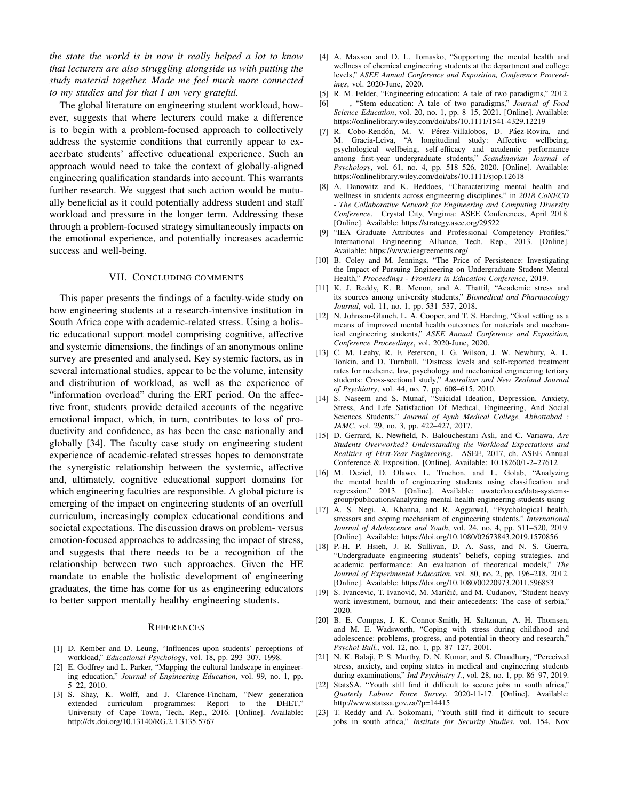*the state the world is in now it really helped a lot to know that lecturers are also struggling alongside us with putting the study material together. Made me feel much more connected to my studies and for that I am very grateful.*

The global literature on engineering student workload, however, suggests that where lecturers could make a difference is to begin with a problem-focused approach to collectively address the systemic conditions that currently appear to exacerbate students' affective educational experience. Such an approach would need to take the context of globally-aligned engineering qualification standards into account. This warrants further research. We suggest that such action would be mutually beneficial as it could potentially address student and staff workload and pressure in the longer term. Addressing these through a problem-focused strategy simultaneously impacts on the emotional experience, and potentially increases academic success and well-being.

#### VII. CONCLUDING COMMENTS

This paper presents the findings of a faculty-wide study on how engineering students at a research-intensive institution in South Africa cope with academic-related stress. Using a holistic educational support model comprising cognitive, affective and systemic dimensions, the findings of an anonymous online survey are presented and analysed. Key systemic factors, as in several international studies, appear to be the volume, intensity and distribution of workload, as well as the experience of "information overload" during the ERT period. On the affective front, students provide detailed accounts of the negative emotional impact, which, in turn, contributes to loss of productivity and confidence, as has been the case nationally and globally [34]. The faculty case study on engineering student experience of academic-related stresses hopes to demonstrate the synergistic relationship between the systemic, affective and, ultimately, cognitive educational support domains for which engineering faculties are responsible. A global picture is emerging of the impact on engineering students of an overfull curriculum, increasingly complex educational conditions and societal expectations. The discussion draws on problem- versus emotion-focused approaches to addressing the impact of stress, and suggests that there needs to be a recognition of the relationship between two such approaches. Given the HE mandate to enable the holistic development of engineering graduates, the time has come for us as engineering educators to better support mentally healthy engineering students.

#### **REFERENCES**

- [1] D. Kember and D. Leung, "Influences upon students' perceptions of workload," *Educational Psychology*, vol. 18, pp. 293–307, 1998.
- [2] E. Godfrey and L. Parker, "Mapping the cultural landscape in engineering education," *Journal of Engineering Education*, vol. 99, no. 1, pp. 5–22, 2010.
- [3] S. Shay, K. Wolff, and J. Clarence-Fincham, "New generation extended curriculum programmes: Report to the DHET," University of Cape Town, Tech. Rep., 2016. [Online]. Available: http://dx.doi.org/10.13140/RG.2.1.3135.5767
- [4] A. Maxson and D. L. Tomasko, "Supporting the mental health and wellness of chemical engineering students at the department and college levels," *ASEE Annual Conference and Exposition, Conference Proceedings*, vol. 2020-June, 2020.
- [5] R. M. Felder, "Engineering education: A tale of two paradigms," 2012.
- -, "Stem education: A tale of two paradigms," *Journal of Food Science Education*, vol. 20, no. 1, pp. 8–15, 2021. [Online]. Available: https://onlinelibrary.wiley.com/doi/abs/10.1111/1541-4329.12219
- [7] R. Cobo-Rendón, M. V. Pérez-Villalobos, D. Páez-Rovira, and M. Gracia-Leiva, "A longitudinal study: Affective wellbeing, psychological wellbeing, self-efficacy and academic performance among first-year undergraduate students," *Scandinavian Journal of Psychology*, vol. 61, no. 4, pp. 518–526, 2020. [Online]. Available: https://onlinelibrary.wiley.com/doi/abs/10.1111/sjop.12618
- [8] A. Danowitz and K. Beddoes, "Characterizing mental health and wellness in students across engineering disciplines," in *2018 CoNECD - The Collaborative Network for Engineering and Computing Diversity Conference*. Crystal City, Virginia: ASEE Conferences, April 2018. [Online]. Available: https://strategy.asee.org/29522
- [9] "IEA Graduate Attributes and Professional Competency Profiles," International Engineering Alliance, Tech. Rep., 2013. [Online]. Available: https://www.ieagreements.org/
- [10] B. Coley and M. Jennings, "The Price of Persistence: Investigating the Impact of Pursuing Engineering on Undergraduate Student Mental Health," *Proceedings - Frontiers in Education Conference*, 2019.
- [11] K. J. Reddy, K. R. Menon, and A. Thattil, "Academic stress and its sources among university students," *Biomedical and Pharmacology Journal*, vol. 11, no. 1, pp. 531–537, 2018.
- [12] N. Johnson-Glauch, L. A. Cooper, and T. S. Harding, "Goal setting as a means of improved mental health outcomes for materials and mechanical engineering students," *ASEE Annual Conference and Exposition, Conference Proceedings*, vol. 2020-June, 2020.
- [13] C. M. Leahy, R. F. Peterson, I. G. Wilson, J. W. Newbury, A. L. Tonkin, and D. Turnbull, "Distress levels and self-reported treatment rates for medicine, law, psychology and mechanical engineering tertiary students: Cross-sectional study," *Australian and New Zealand Journal of Psychiatry*, vol. 44, no. 7, pp. 608–615, 2010.
- [14] S. Naseem and S. Munaf, "Suicidal Ideation, Depression, Anxiety, Stress, And Life Satisfaction Of Medical, Engineering, And Social Sciences Students," *Journal of Ayub Medical College, Abbottabad : JAMC*, vol. 29, no. 3, pp. 422–427, 2017.
- [15] D. Gerrard, K. Newfield, N. Balouchestani Asli, and C. Variawa, *Are Students Overworked? Understanding the Workload Expectations and Realities of First-Year Engineering*. ASEE, 2017, ch. ASEE Annual Conference & Exposition. [Online]. Available: 10.18260/1-2–27612
- [16] M. Deziel, D. Olawo, L. Truchon, and L. Golab, "Analyzing the mental health of engineering students using classification and regression," 2013. [Online]. Available: uwaterloo.ca/data-systemsgroup/publications/analyzing-mental-health-engineering-students-using
- [17] A. S. Negi, A. Khanna, and R. Aggarwal, "Psychological health, stressors and coping mechanism of engineering students," *International Journal of Adolescence and Youth*, vol. 24, no. 4, pp. 511–520, 2019. [Online]. Available: https://doi.org/10.1080/02673843.2019.1570856
- [18] P.-H. P. Hsieh, J. R. Sullivan, D. A. Sass, and N. S. Guerra, "Undergraduate engineering students' beliefs, coping strategies, and academic performance: An evaluation of theoretical models," *The Journal of Experimental Education*, vol. 80, no. 2, pp. 196–218, 2012. [Online]. Available: https://doi.org/10.1080/00220973.2011.596853
- [19] S. Ivancevic, T. Ivanović, M. Maričić, and M. Cudanov, "Student heavy work investment, burnout, and their antecedents: The case of serbia. 2020.
- [20] B. E. Compas, J. K. Connor-Smith, H. Saltzman, A. H. Thomsen, and M. E. Wadsworth, "Coping with stress during childhood and adolescence: problems, progress, and potential in theory and research," *Psychol Bull.*, vol. 12, no. 1, pp. 87–127, 2001.
- [21] N. K. Balaji, P. S. Murthy, D. N. Kumar, and S. Chaudhury, "Perceived stress, anxiety, and coping states in medical and engineering students during examinations," *Ind Psychiatry J.*, vol. 28, no. 1, pp. 86–97, 2019.
- [22] StatsSA, "Youth still find it difficult to secure jobs in south africa," *Quaterly Labour Force Survey*, 2020-11-17. [Online]. Available: http://www.statssa.gov.za/?p=14415
- [23] T. Reddy and A. Sokomani, "Youth still find it difficult to secure jobs in south africa," *Institute for Security Studies*, vol. 154, Nov